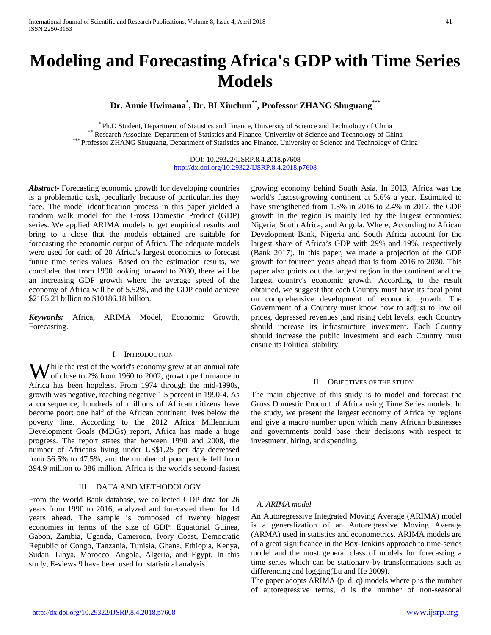# **Modeling and Forecasting Africa's GDP with Time Series Models**

**Dr. Annie Uwimana\* , Dr. BI Xiuchun\*\*, Professor ZHANG Shuguang\*\*\***

\* Ph.D Student, Department of Statistics and Finance, University of Science and Technology of China<br>\*\*\* Research Associate, Department of Statistics and Finance, University of Science and Technology of China<br>\*\*\* Professor

DOI: 10.29322/IJSRP.8.4.2018.p7608 <http://dx.doi.org/10.29322/IJSRP.8.4.2018.p7608>

*Abstract***-** Forecasting economic growth for developing countries is a problematic task, peculiarly because of particularities they face. The model identification process in this paper yielded a random walk model for the Gross Domestic Product (GDP) series. We applied ARIMA models to get empirical results and bring to a close that the models obtained are suitable for forecasting the economic output of Africa. The adequate models were used for each of 20 Africa's largest economies to forecast future time series values. Based on the estimation results, we concluded that from 1990 looking forward to 2030, there will be an increasing GDP growth where the average speed of the economy of Africa will be of 5.52%, and the GDP could achieve \$2185.21 billion to \$10186.18 billion.

*Keywords:* Africa, ARIMA Model, Economic Growth, Forecasting.

## I. INTRODUCTION

hile the rest of the world's economy grew at an annual rate Wof close to 2% from 1960 to 2002, growth performance in Africa has been hopeless. From 1974 through the mid-1990s, growth was negative, reaching negative 1.5 percent in 1990-4. As a consequence, hundreds of millions of African citizens have become poor: one half of the African continent lives below the poverty line. According to the 2012 Africa Millennium Development Goals (MDGs) report, Africa has made a huge progress. The report states that between 1990 and 2008, the number of Africans living under US\$1.25 per day decreased from 56.5% to 47.5%, and the number of poor people fell from 394.9 million to 386 million. Africa is the world's second-fastest

## III. DATA AND METHODOLOGY

From the World Bank database, we collected GDP data for 26 years from 1990 to 2016, analyzed and forecasted them for 14 years ahead. The sample is composed of twenty biggest economies in terms of the size of GDP: Equatorial Guinea, Gabon, Zambia, Uganda, Cameroon, Ivory Coast, Democratic Republic of Congo, Tanzania, Tunisia, Ghana, Ethiopia, Kenya, Sudan, Libya, Morocco, Angola, Algeria, and Egypt. In this study, E-views 9 have been used for statistical analysis.

growing economy behind South Asia. In 2013, Africa was the world's fastest-growing continent at 5.6% a year. Estimated to have strengthened from 1.3% in 2016 to 2.4% in 2017, the GDP growth in the region is mainly led by the largest economies: Nigeria, South Africa, and Angola. Where, According to African Development Bank, Nigeria and South Africa account for the largest share of Africa's GDP with 29% and 19%, respectively (Bank 2017). In this paper, we made a projection of the GDP growth for fourteen years ahead that is from 2016 to 2030. This paper also points out the largest region in the continent and the largest country's economic growth. According to the result obtained, we suggest that each Country must have its focal point on comprehensive development of economic growth. The Government of a Country must know how to adjust to low oil prices, depressed revenues ,and rising debt levels, each Country should increase its infrastructure investment. Each Country should increase the public investment and each Country must ensure its Political stability.

## II. OBJECTIVES OF THE STUDY

The main objective of this study is to model and forecast the Gross Domestic Product of Africa using Time Series models. In the study, we present the largest economy of Africa by regions and give a macro number upon which many African businesses and governments could base their decisions with respect to investment, hiring, and spending.

## *A. ARIMA model*

An Autoregressive Integrated Moving Average (ARIMA) model is a generalization of an Autoregressive Moving Average (ARMA) used in statistics and econometrics. ARIMA models are of a great significance in the Box-Jenkins approach to time-series model and the most general class of models for forecasting a time series which can be stationary by transformations such as differencing and logging(Lu and He 2009).

The paper adopts ARIMA (p, d, q) models where p is the number of autoregressive terms, d is the number of non-seasonal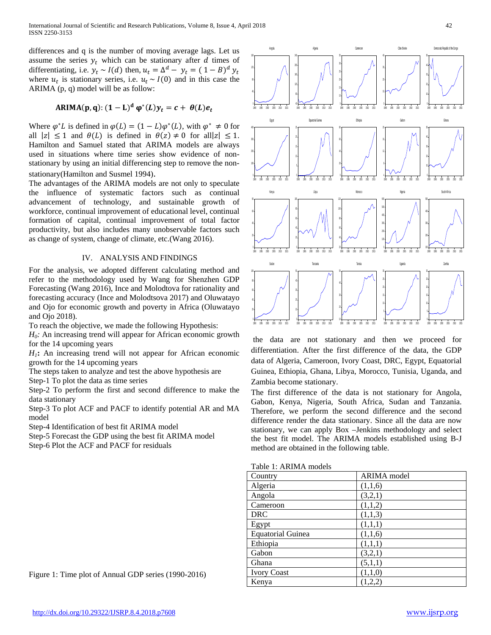differences and q is the number of moving average lags. Let us assume the series  $y_t$  which can be stationary after d times of differentiating, i.e.  $y_t \sim I(d)$  then,  $u_t = \Delta^d - y_t = (1 - B)^d y_t$ where  $u_t$  is stationary series, i.e.  $u_t \sim I(0)$  and in this case the ARIMA (p, q) model will be as follow:

ARIMA(p,q): 
$$
(1-L)^d \varphi^*(L)y_t = c + \theta(L)e_t
$$

Where  $\varphi^* L$  is defined in  $\varphi(L) = (1 - L) \varphi^*(L)$ , with  $\varphi^* \neq 0$  for all  $|z| \le 1$  and  $\theta(L)$  is defined in  $\theta(z) \ne 0$  for all  $|z| \le 1$ . Hamilton and Samuel stated that ARIMA models are always used in situations where time series show evidence of nonstationary by using an initial differencing step to remove the nonstationary(Hamilton and Susmel 1994).

The advantages of the ARIMA models are not only to speculate the influence of systematic factors such as continual advancement of technology, and sustainable growth of workforce, continual improvement of educational level, continual formation of capital, continual improvement of total factor productivity, but also includes many unobservable factors such as change of system, change of climate, etc.(Wang 2016).

## IV. ANALYSIS AND FINDINGS

For the analysis, we adopted different calculating method and refer to the methodology used by Wang for Shenzhen GDP Forecasting (Wang 2016), Ince and Molodtova for rationality and forecasting accuracy (Ince and Molodtsova 2017) and Oluwatayo and Ojo for economic growth and poverty in Africa (Oluwatayo and Ojo 2018).

To reach the objective, we made the following Hypothesis:

*H*<sub>0</sub>: An increasing trend will appear for African economic growth for the 14 upcoming years

*H1***:** An increasing trend will not appear for African economic growth for the 14 upcoming years

The steps taken to analyze and test the above hypothesis are

Step-1 To plot the data as time series

Step-2 To perform the first and second difference to make the data stationary

Step-3 To plot ACF and PACF to identify potential AR and MA model

Step-4 Identification of best fit ARIMA model

Step-5 Forecast the GDP using the best fit ARIMA model

Step-6 Plot the ACF and PACF for residuals



the data are not stationary and then we proceed for differentiation. After the first difference of the data, the GDP data of Algeria, Cameroon, Ivory Coast, DRC, Egypt, Equatorial Guinea, Ethiopia, Ghana, Libya, Morocco, Tunisia, Uganda, and Zambia become stationary.

The first difference of the data is not stationary for Angola, Gabon, Kenya, Nigeria, South Africa, Sudan and Tanzania. Therefore, we perform the second difference and the second difference render the data stationary. Since all the data are now stationary, we can apply Box –Jenkins methodology and select the best fit model. The ARIMA models established using B-J method are obtained in the following table.

|  | Table 1: ARIMA models |  |
|--|-----------------------|--|
|--|-----------------------|--|

| Country                  | <b>ARIMA</b> model |
|--------------------------|--------------------|
| Algeria                  | (1,1,6)            |
| Angola                   | (3,2,1)            |
| Cameroon                 | (1,1,2)            |
| <b>DRC</b>               | (1,1,3)            |
| Egypt                    | (1,1,1)            |
| <b>Equatorial Guinea</b> | (1,1,6)            |
| Ethiopia                 | (1,1,1)            |
| Gabon                    | (3,2,1)            |
| Ghana                    | (5,1,1)            |
| <b>Ivory Coast</b>       | (1,1,0)            |
| Kenya                    | (1,2,2)            |

Figure 1: Time plot of Annual GDP series (1990-2016)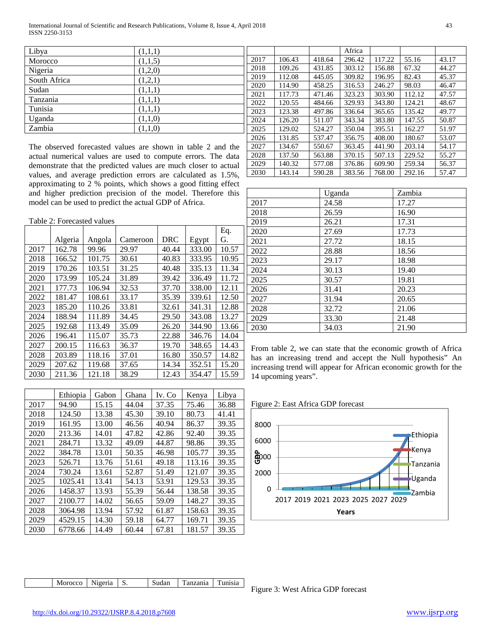International Journal of Scientific and Research Publications, Volume 8, Issue 4, April 2018 43 ISSN 2250-3153

| Libya        | (1,1,1) |             |
|--------------|---------|-------------|
| Morocco      | (1,1,5) |             |
| Nigeria      | (1,2,0) |             |
| South Africa | (1,2,1) |             |
| Sudan        | (1,1,1) |             |
| Tanzania     | (1,1,1) |             |
| Tunisia      | (1,1,1) |             |
| Uganda       | (1,1,0) |             |
| Zambia       | (1,1,0) | $\tilde{c}$ |

The observed forecasted values are shown in table 2 and the actual numerical values are used to compute errors. The data demonstrate that the predicted values are much closer to actual values, and average prediction errors are calculated as 1.5%, approximating to 2 % points, which shows a good fitting effect and higher prediction precision of the model. Therefore this model can be used to predict the actual GDP of Africa.

| Table 2: Forecasted values |  |
|----------------------------|--|
|----------------------------|--|

|      |         |        |          |            |        | Eq.   |
|------|---------|--------|----------|------------|--------|-------|
|      | Algeria | Angola | Cameroon | <b>DRC</b> | Egypt  | G.    |
| 2017 | 162.78  | 99.96  | 29.97    | 40.44      | 333.00 | 10.57 |
| 2018 | 166.52  | 101.75 | 30.61    | 40.83      | 333.95 | 10.95 |
| 2019 | 170.26  | 103.51 | 31.25    | 40.48      | 335.13 | 11.34 |
| 2020 | 173.99  | 105.24 | 31.89    | 39.42      | 336.49 | 11.72 |
| 2021 | 177.73  | 106.94 | 32.53    | 37.70      | 338.00 | 12.11 |
| 2022 | 181.47  | 108.61 | 33.17    | 35.39      | 339.61 | 12.50 |
| 2023 | 185.20  | 110.26 | 33.81    | 32.61      | 341.31 | 12.88 |
| 2024 | 188.94  | 111.89 | 34.45    | 29.50      | 343.08 | 13.27 |
| 2025 | 192.68  | 113.49 | 35.09    | 26.20      | 344.90 | 13.66 |
| 2026 | 196.41  | 115.07 | 35.73    | 22.88      | 346.76 | 14.04 |
| 2027 | 200.15  | 116.63 | 36.37    | 19.70      | 348.65 | 14.43 |
| 2028 | 203.89  | 118.16 | 37.01    | 16.80      | 350.57 | 14.82 |
| 2029 | 207.62  | 119.68 | 37.65    | 14.34      | 352.51 | 15.20 |
| 2030 | 211.36  | 121.18 | 38.29    | 12.43      | 354.47 | 15.59 |

|      | Ethiopia | Gabon | Ghana | Iv. Co | Kenya  | Libya |
|------|----------|-------|-------|--------|--------|-------|
| 2017 | 94.90    | 15.15 | 44.04 | 37.35  | 75.46  | 36.88 |
| 2018 | 124.50   | 13.38 | 45.30 | 39.10  | 80.73  | 41.41 |
| 2019 | 161.95   | 13.00 | 46.56 | 40.94  | 86.37  | 39.35 |
| 2020 | 213.36   | 14.01 | 47.82 | 42.86  | 92.40  | 39.35 |
| 2021 | 284.71   | 13.32 | 49.09 | 44.87  | 98.86  | 39.35 |
| 2022 | 384.78   | 13.01 | 50.35 | 46.98  | 105.77 | 39.35 |
| 2023 | 526.71   | 13.76 | 51.61 | 49.18  | 113.16 | 39.35 |
| 2024 | 730.24   | 13.61 | 52.87 | 51.49  | 121.07 | 39.35 |
| 2025 | 1025.41  | 13.41 | 54.13 | 53.91  | 129.53 | 39.35 |
| 2026 | 1458.37  | 13.93 | 55.39 | 56.44  | 138.58 | 39.35 |
| 2027 | 2100.77  | 14.02 | 56.65 | 59.09  | 148.27 | 39.35 |
| 2028 | 3064.98  | 13.94 | 57.92 | 61.87  | 158.63 | 39.35 |
| 2029 | 4529.15  | 14.30 | 59.18 | 64.77  | 169.71 | 39.35 |
| 2030 | 6778.66  | 14.49 | 60.44 | 67.81  | 181.57 | 39.35 |

|      |        |        | Africa |        |        |       |
|------|--------|--------|--------|--------|--------|-------|
| 2017 | 106.43 | 418.64 | 296.42 | 117.22 | 55.16  | 43.17 |
| 2018 | 109.26 | 431.85 | 303.12 | 156.88 | 67.32  | 44.27 |
| 2019 | 112.08 | 445.05 | 309.82 | 196.95 | 82.43  | 45.37 |
| 2020 | 114.90 | 458.25 | 316.53 | 246.27 | 98.03  | 46.47 |
| 2021 | 117.73 | 471.46 | 323.23 | 303.90 | 112.12 | 47.57 |
| 2022 | 120.55 | 484.66 | 329.93 | 343.80 | 124.21 | 48.67 |
| 2023 | 123.38 | 497.86 | 336.64 | 365.65 | 135.42 | 49.77 |
| 2024 | 126.20 | 511.07 | 343.34 | 383.80 | 147.55 | 50.87 |
| 2025 | 129.02 | 524.27 | 350.04 | 395.51 | 162.27 | 51.97 |
| 2026 | 131.85 | 537.47 | 356.75 | 408.00 | 180.67 | 53.07 |
| 2027 | 134.67 | 550.67 | 363.45 | 441.90 | 203.14 | 54.17 |
| 2028 | 137.50 | 563.88 | 370.15 | 507.13 | 229.52 | 55.27 |
| 2029 | 140.32 | 577.08 | 376.86 | 609.90 | 259.34 | 56.37 |
| 2030 | 143.14 | 590.28 | 383.56 | 768.00 | 292.16 | 57.47 |

|      | Uganda | Zambia |
|------|--------|--------|
| 2017 | 24.58  | 17.27  |
| 2018 | 26.59  | 16.90  |
| 2019 | 26.21  | 17.31  |
| 2020 | 27.69  | 17.73  |
| 2021 | 27.72  | 18.15  |
| 2022 | 28.88  | 18.56  |
| 2023 | 29.17  | 18.98  |
| 2024 | 30.13  | 19.40  |
| 2025 | 30.57  | 19.81  |
| 2026 | 31.41  | 20.23  |
| 2027 | 31.94  | 20.65  |
| 2028 | 32.72  | 21.06  |
| 2029 | 33.30  | 21.48  |
| 2030 | 34.03  | 21.90  |

From table 2, we can state that the economic growth of Africa has an increasing trend and accept the Null hypothesis" An increasing trend will appear for African economic growth for the 14 upcoming years".

Figure 2: East Africa GDP forecast



|--|

Figure 3: West Africa GDP forecast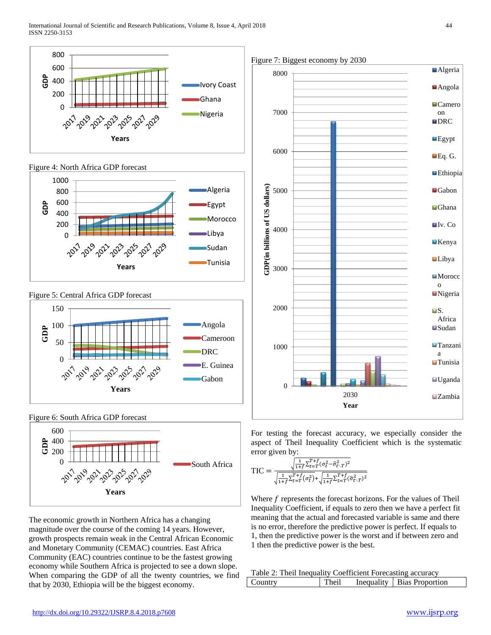









Figure 6: South Africa GDP forecast



The economic growth in Northern Africa has a changing magnitude over the course of the coming 14 years. However, growth prospects remain weak in the Central African Economic and Monetary Community (CEMAC) countries. East Africa Community (EAC) countries continue to be the fastest growing economy while Southern Africa is projected to see a down slope. When comparing the GDP of all the twenty countries, we find that by 2030, Ethiopia will be the biggest economy.



For testing the forecast accuracy, we especially consider the aspect of Theil Inequality Coefficient which is the systematic error given by:

$$
TIC = \frac{\sqrt{\frac{1}{1+f} \sum_{t=T}^{T+f} (\sigma_t^2 - \hat{\sigma}_{t\cdot}^2)^2}}{\sqrt{\frac{1}{1+f} \sum_{t=T}^{T+f} (\sigma_t^2) + \sqrt{\frac{1}{1+f} \sum_{t=T}^{T+f} (\hat{\sigma}_{t\cdot}^2)^2}}}
$$

Where  $f$  represents the forecast horizons. For the values of Theil Inequality Coefficient, if equals to zero then we have a perfect fit meaning that the actual and forecasted variable is same and there is no error, therefore the predictive power is perfect. If equals to 1, then the predictive power is the worst and if between zero and 1 then the predictive power is the best.

| Table 2: Theil Inequality Coefficient Forecasting accuracy |       |  |                              |  |
|------------------------------------------------------------|-------|--|------------------------------|--|
| Country                                                    | Theil |  | Inequality   Bias Proportion |  |

Figure 7: Biggest economy by 2030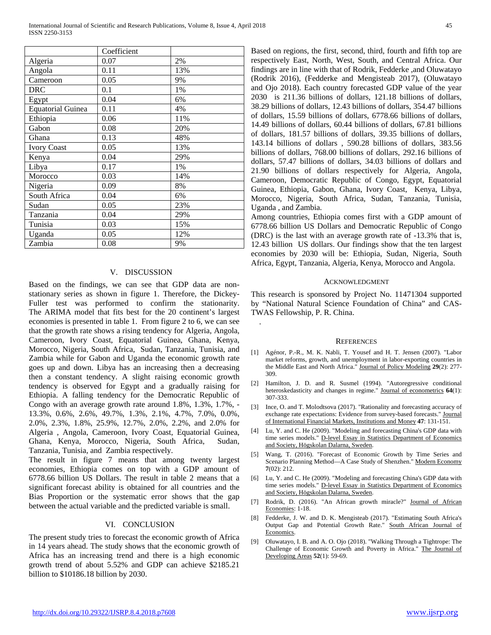|                          | Coefficient |     |
|--------------------------|-------------|-----|
| Algeria                  | 0.07        | 2%  |
| Angola                   | 0.11        | 13% |
| Cameroon                 | 0.05        | 9%  |
| DRC                      | 0.1         | 1%  |
| Egypt                    | 0.04        | 6%  |
| <b>Equatorial Guinea</b> | 0.11        | 4%  |
| Ethiopia                 | 0.06        | 11% |
| Gabon                    | 0.08        | 20% |
| Ghana                    | 0.13        | 48% |
| <b>Ivory Coast</b>       | 0.05        | 13% |
| Kenya                    | 0.04        | 29% |
| Libya                    | 0.17        | 1%  |
| Morocco                  | 0.03        | 14% |
| Nigeria                  | 0.09        | 8%  |
| South Africa             | 0.04        | 6%  |
| Sudan                    | 0.05        | 23% |
| Tanzania                 | 0.04        | 29% |
| Tunisia                  | 0.03        | 15% |
| Uganda                   | 0.05        | 12% |
| Zambia                   | 0.08        | 9%  |

#### V. DISCUSSION

Based on the findings, we can see that GDP data are nonstationary series as shown in figure 1. Therefore, the Dickey-Fuller test was performed to confirm the stationarity. The ARIMA model that fits best for the 20 continent's largest economies is presented in table 1. From figure 2 to 6, we can see that the growth rate shows a rising tendency for Algeria, Angola, Cameroon, Ivory Coast, Equatorial Guinea, Ghana, Kenya, Morocco, Nigeria, South Africa, Sudan, Tanzania, Tunisia, and Zambia while for Gabon and Uganda the economic growth rate goes up and down. Libya has an increasing then a decreasing then a constant tendency. A slight raising economic growth tendency is observed for Egypt and a gradually raising for Ethiopia. A falling tendency for the Democratic Republic of Congo with an average growth rate around 1.8%, 1.3%, 1.7%, - 13.3%, 0.6%, 2.6%, 49.7%, 1.3%, 2.1%, 4.7%, 7.0%, 0.0%, 2.0%, 2.3%, 1.8%, 25.9%, 12.7%, 2.0%, 2.2%, and 2.0% for Algeria , Angola, Cameroon, Ivory Coast, Equatorial Guinea, Ghana, Kenya, Morocco, Nigeria, South Africa, Sudan, Tanzania, Tunisia, and Zambia respectively.

The result in figure 7 means that among twenty largest economies, Ethiopia comes on top with a GDP amount of 6778.66 billion US Dollars. The result in table 2 means that a significant forecast ability is obtained for all countries and the Bias Proportion or the systematic error shows that the gap between the actual variable and the predicted variable is small.

### VI. CONCLUSION

The present study tries to forecast the economic growth of Africa in 14 years ahead. The study shows that the economic growth of Africa has an increasing trend and there is a high economic growth trend of about 5.52% and GDP can achieve \$2185.21 billion to \$10186.18 billion by 2030.

Based on regions, the first, second, third, fourth and fifth top are respectively East, North, West, South, and Central Africa. Our findings are in line with that of Rodrik, Fedderke ,and Oluwatayo (Rodrik 2016), (Fedderke and Mengisteab 2017), (Oluwatayo and Ojo 2018). Each country forecasted GDP value of the year 2030 is 211.36 billions of dollars, 121.18 billions of dollars, 38.29 billions of dollars, 12.43 billions of dollars, 354.47 billions of dollars, 15.59 billions of dollars, 6778.66 billions of dollars, 14.49 billions of dollars, 60.44 billions of dollars, 67.81 billions of dollars, 181.57 billions of dollars, 39.35 billions of dollars, 143.14 billions of dollars , 590.28 billions of dollars, 383.56 billions of dollars, 768.00 billions of dollars, 292.16 billions of dollars, 57.47 billions of dollars, 34.03 billions of dollars and 21.90 billions of dollars respectively for Algeria, Angola, Cameroon, Democratic Republic of Congo, Egypt, Equatorial Guinea, Ethiopia, Gabon, Ghana, Ivory Coast, Kenya, Libya, Morocco, Nigeria, South Africa, Sudan, Tanzania, Tunisia, Uganda , and Zambia.

Among countries, Ethiopia comes first with a GDP amount of 6778.66 billion US Dollars and Democratic Republic of Congo (DRC) is the last with an average growth rate of -13.3% that is, 12.43 billion US dollars. Our findings show that the ten largest economies by 2030 will be: Ethiopia, Sudan, Nigeria, South Africa, Egypt, Tanzania, Algeria, Kenya, Morocco and Angola.

#### ACKNOWLEDGMENT

This research is sponsored by Project No. 11471304 supported by "National Natural Science Foundation of China" and CAS-TWAS Fellowship, P. R. China.

#### **REFERENCES**

.

- [1] Agénor, P.-R., M. K. Nabli, T. Yousef and H. T. Jensen (2007). "Labor market reforms, growth, and unemployment in labor-exporting countries in the Middle East and North Africa." Journal of Policy Modeling **29**(2): 277- 309.
- [2] Hamilton, J. D. and R. Susmel (1994). "Autoregressive conditional heteroskedasticity and changes in regime." Journal of econometrics **64**(1): 307-333.
- [3] Ince, O. and T. Molodtsova (2017). "Rationality and forecasting accuracy of exchange rate expectations: Evidence from survey-based forecasts." Journal of International Financial Markets, Institutions and Money **47**: 131-151.
- [4] Lu, Y. and C. He (2009). "Modeling and forecasting China's GDP data with time series models." D-level Essay in Statistics Department of Economics and Society, Högskolan Dalarna, Sweden.
- [5] Wang, T. (2016). "Forecast of Economic Growth by Time Series and Scenario Planning Method—A Case Study of Shenzhen." Modern Economy **7**(02): 212.
- [6] Lu, Y. and C. He (2009). "Modeling and forecasting China's GDP data with time series models." D-level Essay in Statistics Department of Economics and Society, Högskolan Dalarna, Sweden.
- [7] Rodrik, D. (2016). "An African growth miracle?" Journal of African Economies: 1-18.
- [8] Fedderke, J. W. and D. K. Mengisteab (2017). "Estimating South Africa's Output Gap and Potential Growth Rate." South African Journal of Economics.
- [9] Oluwatayo, I. B. and A. O. Ojo (2018). "Walking Through a Tightrope: The Challenge of Economic Growth and Poverty in Africa." The Journal of Developing Areas **52**(1): 59-69.